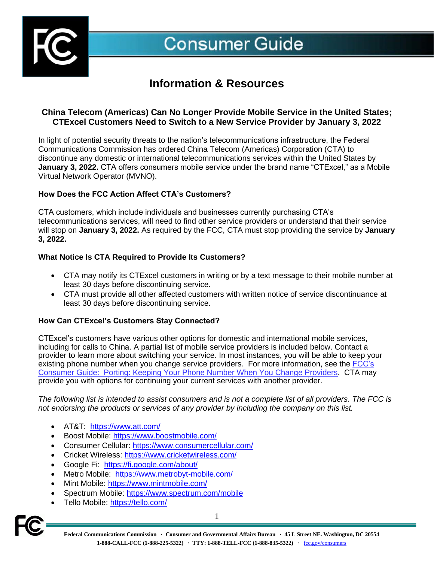

**Consumer Guide** 

# **Information & Resources**

## **China Telecom (Americas) Can No Longer Provide Mobile Service in the United States; CTExcel Customers Need to Switch to a New Service Provider by January 3, 2022**

In light of potential security threats to the nation's telecommunications infrastructure, the Federal Communications Commission has ordered China Telecom (Americas) Corporation (CTA) to discontinue any domestic or international telecommunications services within the United States by **January 3, 2022.** CTA offers consumers mobile service under the brand name "CTExcel," as a Mobile Virtual Network Operator (MVNO).

## **How Does the FCC Action Affect CTA's Customers?**

CTA customers, which include individuals and businesses currently purchasing CTA's telecommunications services, will need to find other service providers or understand that their service will stop on **January 3, 2022.** As required by the FCC, CTA must stop providing the service by **January 3, 2022.** 

#### **What Notice Is CTA Required to Provide Its Customers?**

- CTA may notify its CTExcel customers in writing or by a text message to their mobile number at least 30 days before discontinuing service.
- CTA must provide all other affected customers with written notice of service discontinuance at least 30 days before discontinuing service.

## **How Can CTExcel's Customers Stay Connected?**

CTExcel's customers have various other options for domestic and international mobile services, including for calls to China. A partial list of mobile service providers is included below. Contact a provider to learn more about switching your service. In most instances, you will be able to keep your existing phone number when you change service providers. For more information, see the FCC's [Consumer Guide: Porting: Keeping Your Phone Number When You Change Providers.](https://www.fcc.gov/consumers/guides/porting-keeping-your-phone-number-when-you-change-providers) CTA may provide you with options for continuing your current services with another provider.

*The following list is intended to assist consumers and is not a complete list of all providers. The FCC is not endorsing the products or services of any provider by including the company on this list.* 

- AT&T: <https://www.att.com/>
- Boost Mobile:<https://www.boostmobile.com/>
- Consumer Cellular:<https://www.consumercellular.com/>
- Cricket Wireless:<https://www.cricketwireless.com/>
- Google Fi: [https://fi.google.com/about/](https://fi.google.com/about/?utm_medium=cpc&utm_source=bing&utm_campaign=dr-2021-evergreen&utm_content=q3-2021_hybrid:campaign_hybrid:device_bkws_exact_na_text_na_na_na)
- Metro Mobile: <https://www.metrobyt-mobile.com/>
- Mint Mobile:<https://www.mintmobile.com/>
- Spectrum Mobile:<https://www.spectrum.com/mobile>
- Tello Mobile:<https://tello.com/>